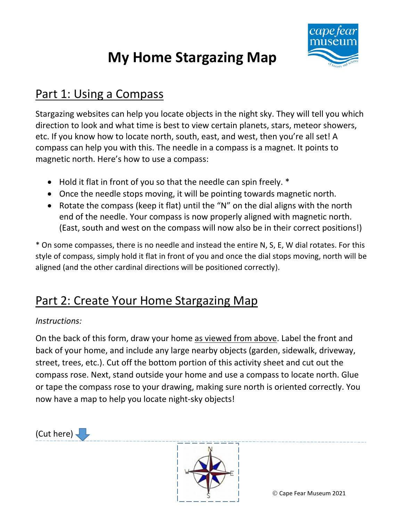# **My Home Stargazing Map**



#### Part 1: Using a Compass

Stargazing websites can help you locate objects in the night sky. They will tell you which direction to look and what time is best to view certain planets, stars, meteor showers, etc. If you know how to locate north, south, east, and west, then you're all set! A compass can help you with this. The needle in a compass is a magnet. It points to magnetic north. Here's how to use a compass:

- Hold it flat in front of you so that the needle can spin freely. \*
- Once the needle stops moving, it will be pointing towards magnetic north.
- Rotate the compass (keep it flat) until the "N" on the dial aligns with the north end of the needle. Your compass is now properly aligned with magnetic north. (East, south and west on the compass will now also be in their correct positions!)

\* On some compasses, there is no needle and instead the entire N, S, E, W dial rotates. For this style of compass, simply hold it flat in front of you and once the dial stops moving, north will be aligned (and the other cardinal directions will be positioned correctly).

### Part 2: Create Your Home Stargazing Map

#### *Instructions:*

On the back of this form, draw your home as viewed from above. Label the front and back of your home, and include any large nearby objects (garden, sidewalk, driveway, street, trees, etc.). Cut off the bottom portion of this activity sheet and cut out the compass rose. Next, stand outside your home and use a compass to locate north. Glue or tape the compass rose to your drawing, making sure north is oriented correctly. You now have a map to help you locate night-sky objects!

(Cut here)  $\overline{\phantom{a}}$